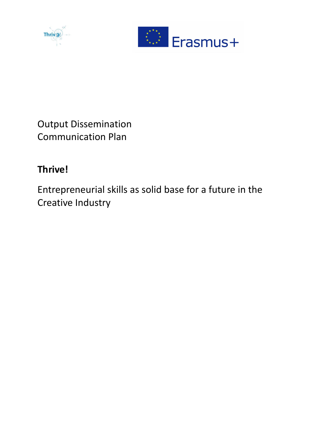



Output Dissemination Communication Plan

# **Thrive!**

Entrepreneurial skills as solid base for a future in the Creative Industry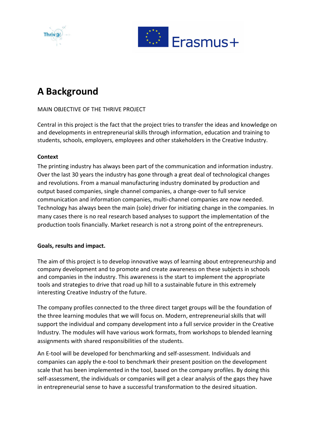



# **A Background**

# MAIN OBJECTIVE OF THE THRIVE PROJECT

Central in this project is the fact that the project tries to transfer the ideas and knowledge on and developments in entrepreneurial skills through information, education and training to students, schools, employers, employees and other stakeholders in the Creative Industry.

# **Context**

The printing industry has always been part of the communication and information industry. Over the last 30 years the industry has gone through a great deal of technological changes and revolutions. From a manual manufacturing industry dominated by production and output based companies, single channel companies, a change-over to full service communication and information companies, multi-channel companies are now needed. Technology has always been the main (sole) driver for initiating change in the companies. In many cases there is no real research based analyses to support the implementation of the production tools financially. Market research is not a strong point of the entrepreneurs.

# **Goals, results and impact.**

The aim of this project is to develop innovative ways of learning about entrepreneurship and company development and to promote and create awareness on these subjects in schools and companies in the industry. This awareness is the start to implement the appropriate tools and strategies to drive that road up hill to a sustainable future in this extremely interesting Creative Industry of the future.

The company profiles connected to the three direct target groups will be the foundation of the three learning modules that we will focus on. Modern, entrepreneurial skills that will support the individual and company development into a full service provider in the Creative Industry. The modules will have various work formats, from workshops to blended learning assignments with shared responsibilities of the students.

An E-tool will be developed for benchmarking and self-assessment. Individuals and companies can apply the e-tool to benchmark their present position on the development scale that has been implemented in the tool, based on the company profiles. By doing this self-assessment, the individuals or companies will get a clear analysis of the gaps they have in entrepreneurial sense to have a successful transformation to the desired situation.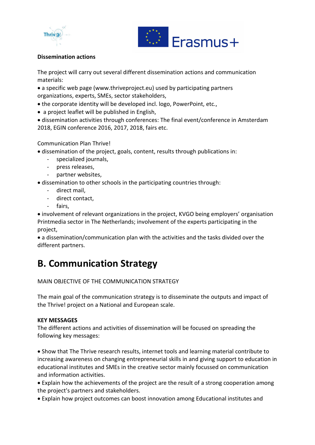



# **Dissemination actions**

The project will carry out several different dissemination actions and communication materials:

 a specific web page (www.thriveproject.eu) used by participating partners organizations, experts, SMEs, sector stakeholders,

- the corporate identity will be developed incl. logo, PowerPoint, etc.,
- a project leaflet will be published in English,

 dissemination activities through conferences: The final event/conference in Amsterdam 2018, EGIN conference 2016, 2017, 2018, fairs etc.

# Communication Plan Thrive!

- dissemination of the project, goals, content, results through publications in:
	- specialized journals,
	- press releases,
	- partner websites,

dissemination to other schools in the participating countries through:

- direct mail,
- direct contact.
- fairs,

 involvement of relevant organizations in the project, KVGO being employers' organisation Printmedia sector in The Netherlands; involvement of the experts participating in the project,

 a dissemination/communication plan with the activities and the tasks divided over the different partners.

# **B. Communication Strategy**

MAIN OBJECTIVE OF THE COMMUNICATION STRATEGY

The main goal of the communication strategy is to disseminate the outputs and impact of the Thrive! project on a National and European scale.

# **KEY MESSAGES**

The different actions and activities of dissemination will be focused on spreading the following key messages:

 Show that The Thrive research results, internet tools and learning material contribute to increasing awareness on changing entrepreneurial skills in and giving support to education in educational institutes and SMEs in the creative sector mainly focussed on communication and information activities.

 Explain how the achievements of the project are the result of a strong cooperation among the project's partners and stakeholders.

Explain how project outcomes can boost innovation among Educational institutes and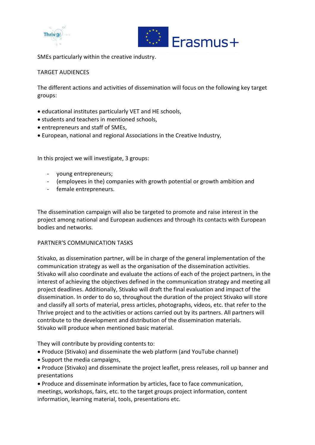



SMEs particularly within the creative industry.

## TARGET AUDIENCES

The different actions and activities of dissemination will focus on the following key target groups:

- educational institutes particularly VET and HE schools,
- students and teachers in mentioned schools,
- entrepreneurs and staff of SMEs,
- European, national and regional Associations in the Creative Industry,

In this project we will investigate, 3 groups:

- young entrepreneurs;
- (employees in the) companies with growth potential or growth ambition and
- female entrepreneurs.

The dissemination campaign will also be targeted to promote and raise interest in the project among national and European audiences and through its contacts with European bodies and networks.

#### PARTNER'S COMMUNICATION TASKS

Stivako, as dissemination partner, will be in charge of the general implementation of the communication strategy as well as the organisation of the dissemination activities. Stivako will also coordinate and evaluate the actions of each of the project partners, in the interest of achieving the objectives defined in the communication strategy and meeting all project deadlines. Additionally, Stivako will draft the final evaluation and impact of the dissemination. In order to do so, throughout the duration of the project Stivako will store and classify all sorts of material, press articles, photographs, videos, etc. that refer to the Thrive project and to the activities or actions carried out by its partners. All partners will contribute to the development and distribution of the dissemination materials. Stivako will produce when mentioned basic material.

They will contribute by providing contents to:

- Produce (Stivako) and disseminate the web platform (and YouTube channel)
- Support the media campaigns,
- Produce (Stivako) and disseminate the project leaflet, press releases, roll up banner and presentations
- Produce and disseminate information by articles, face to face communication, meetings, workshops, fairs, etc. to the target groups project information, content information, learning material, tools, presentations etc.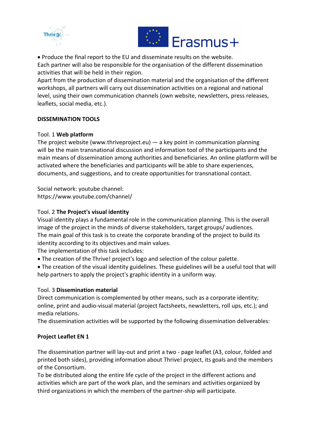



 Produce the final report to the EU and disseminate results on the website. Each partner will also be responsible for the organisation of the different dissemination activities that will be held in their region.

Apart from the production of dissemination material and the organisation of the different workshops, all partners will carry out dissemination activities on a regional and national level, using their own communication channels (own website, newsletters, press releases, leaflets, social media, etc.).

# **DISSEMINATION TOOLS**

## Tool. 1 **Web platform**

The project website (www.thriveproject.eu) — a key point in communication planning will be the main transnational discussion and information tool of the participants and the main means of dissemination among authorities and beneficiaries. An online platform will be activated where the beneficiaries and participants will be able to share experiences, documents, and suggestions, and to create opportunities for transnational contact.

Social network: youtube channel: https://www.youtube.com/channel/

## Tool. 2 **The Project's visual identity**

Visual identity plays a fundamental role in the communication planning. This is the overall image of the project in the minds of diverse stakeholders, target groups/ audiences. The main goal of this task is to create the corporate branding of the project to build its identity according to its objectives and main values.

The implementation of this task includes:

- The creation of the Thrive! project's logo and selection of the colour palette.
- The creation of the visual identity guidelines. These guidelines will be a useful tool that will help partners to apply the project's graphic identity in a uniform way.

#### Tool. 3 **Dissemination material**

Direct communication is complemented by other means, such as a corporate identity; online, print and audio-visual material (project factsheets, newsletters, roll ups, etc.); and media relations.

The dissemination activities will be supported by the following dissemination deliverables:

#### **Project Leaflet EN 1**

The dissemination partner will lay-out and print a two - page leaflet (A3, colour, folded and printed both sides), providing information about Thrive! project, its goals and the members of the Consortium.

To be distributed along the entire life cycle of the project in the different actions and activities which are part of the work plan, and the seminars and activities organized by third organizations in which the members of the partner-ship will participate.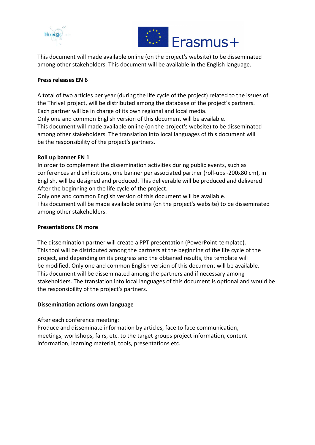



This document will made available online (on the project's website) to be disseminated among other stakeholders. This document will be available in the English language.

## **Press releases EN 6**

A total of two articles per year (during the life cycle of the project) related to the issues of the Thrive! project, will be distributed among the database of the project's partners. Each partner will be in charge of its own regional and local media.

Only one and common English version of this document will be available. This document will made available online (on the project's website) to be disseminated among other stakeholders. The translation into local languages of this document will be the responsibility of the project's partners.

## **Roll up banner EN 1**

In order to complement the dissemination activities during public events, such as conferences and exhibitions, one banner per associated partner (roll-ups -200x80 cm), in English, will be designed and produced. This deliverable will be produced and delivered After the beginning on the life cycle of the project.

Only one and common English version of this document will be available. This document will be made available online (on the project's website) to be disseminated among other stakeholders.

#### **Presentations EN more**

The dissemination partner will create a PPT presentation (PowerPoint-template). This tool will be distributed among the partners at the beginning of the life cycle of the project, and depending on its progress and the obtained results, the template will be modified. Only one and common English version of this document will be available. This document will be disseminated among the partners and if necessary among stakeholders. The translation into local languages of this document is optional and would be the responsibility of the project's partners.

#### **Dissemination actions own language**

After each conference meeting:

Produce and disseminate information by articles, face to face communication, meetings, workshops, fairs, etc. to the target groups project information, content information, learning material, tools, presentations etc.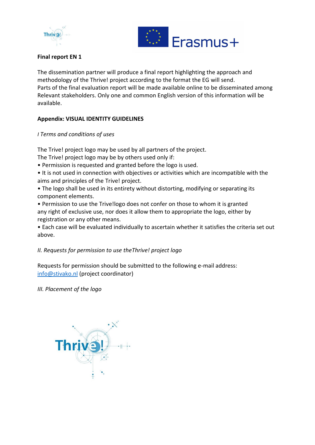



# **Final report EN 1**

The dissemination partner will produce a final report highlighting the approach and methodology of the Thrive! project according to the format the EG will send. Parts of the final evaluation report will be made available online to be disseminated among Relevant stakeholders. Only one and common English version of this information will be available.

# **Appendix: VISUAL IDENTITY GUIDELINES**

## *I Terms and conditions of uses*

The Trive! project logo may be used by all partners of the project.

The Trive! project logo may be by others used only if:

- Permission is requested and granted before the logo is used.
- It is not used in connection with objectives or activities which are incompatible with the aims and principles of the Trive! project.
- The logo shall be used in its entirety without distorting, modifying or separating its component elements.

• Permission to use the Trive!logo does not confer on those to whom it is granted any right of exclusive use, nor does it allow them to appropriate the logo, either by registration or any other means.

• Each case will be evaluated individually to ascertain whether it satisfies the criteria set out above.

# *II. Requests for permission to use theThrive! project logo*

Requests for permission should be submitted to the following e-mail address: [info@stivako.nl](mailto:info@stivako.nl) (project coordinator)

*III. Placement of the logo*